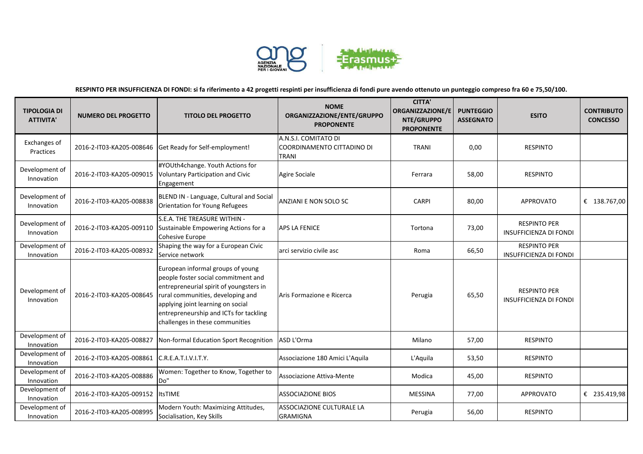

**RESPINTO PER INSUFFICIENZA DI FONDI: si fa riferimento a 42 progetti respinti per insufficienza di fondi pure avendo ottenuto un punteggio compreso fra 60 e 75,50/100.**

| <b>TIPOLOGIA DI</b><br><b>ATTIVITA'</b> | <b>NUMERO DEL PROGETTO</b> | <b>TITOLO DEL PROGETTO</b>                                                                                                                                                                                                                                                 | <b>NOME</b><br>ORGANIZZAZIONE/ENTE/GRUPPO<br><b>PROPONENTE</b>     | <b>CITTA'</b><br><b>ORGANIZZAZIONE/E</b><br>NTE/GRUPPO<br><b>PROPONENTE</b> | <b>PUNTEGGIO</b><br><b>ASSEGNATO</b> | <b>ESITO</b>                                         | <b>CONTRIBUTO</b><br><b>CONCESSO</b> |
|-----------------------------------------|----------------------------|----------------------------------------------------------------------------------------------------------------------------------------------------------------------------------------------------------------------------------------------------------------------------|--------------------------------------------------------------------|-----------------------------------------------------------------------------|--------------------------------------|------------------------------------------------------|--------------------------------------|
| Exchanges of<br>Practices               | 2016-2-IT03-KA205-008646   | Get Ready for Self-employment!                                                                                                                                                                                                                                             | A.N.S.I. COMITATO DI<br>COORDINAMENTO CITTADINO DI<br><b>TRANI</b> | <b>TRANI</b>                                                                | 0,00                                 | <b>RESPINTO</b>                                      |                                      |
| Development of<br>Innovation            | 2016-2-IT03-KA205-009015   | #YOUth4change. Youth Actions for<br><b>Voluntary Participation and Civic</b><br>Engagement                                                                                                                                                                                 | Agire Sociale                                                      | Ferrara                                                                     | 58,00                                | <b>RESPINTO</b>                                      |                                      |
| Development of<br>Innovation            | 2016-2-IT03-KA205-008838   | BLEND IN - Language, Cultural and Social<br>Orientation for Young Refugees                                                                                                                                                                                                 | ANZIANI E NON SOLO SC                                              | <b>CARPI</b>                                                                | 80,00                                | <b>APPROVATO</b>                                     | € 138.767,00                         |
| Development of<br>Innovation            | 2016-2-IT03-KA205-009110   | S.E.A. THE TREASURE WITHIN -<br>Sustainable Empowering Actions for a<br>Cohesive Europe                                                                                                                                                                                    | <b>APS LA FENICE</b>                                               | Tortona                                                                     | 73,00                                | <b>RESPINTO PER</b><br><b>INSUFFICIENZA DI FONDI</b> |                                      |
| Development of<br>Innovation            | 2016-2-IT03-KA205-008932   | Shaping the way for a European Civic<br>Service network                                                                                                                                                                                                                    | arci servizio civile asc                                           | Roma                                                                        | 66,50                                | <b>RESPINTO PER</b><br><b>INSUFFICIENZA DI FONDI</b> |                                      |
| Development of<br>Innovation            | 2016-2-IT03-KA205-008645   | European informal groups of young<br>people foster social commitment and<br>entrepreneurial spirit of youngsters in<br>rural communities, developing and<br>applying joint learning on social<br>entrepreneurship and ICTs for tackling<br>challenges in these communities | Aris Formazione e Ricerca                                          | Perugia                                                                     | 65,50                                | <b>RESPINTO PER</b><br><b>INSUFFICIENZA DI FONDI</b> |                                      |
| Development of<br>Innovation            | 2016-2-IT03-KA205-008827   | Non-formal Education Sport Recognition                                                                                                                                                                                                                                     | ASD L'Orma                                                         | Milano                                                                      | 57,00                                | <b>RESPINTO</b>                                      |                                      |
| Development of<br>Innovation            | 2016-2-IT03-KA205-008861   | C.R.E.A.T.I.V.I.T.Y.                                                                                                                                                                                                                                                       | Associazione 180 Amici L'Aquila                                    | L'Aquila                                                                    | 53,50                                | <b>RESPINTO</b>                                      |                                      |
| Development of<br>Innovation            | 2016-2-IT03-KA205-008886   | Women: Together to Know, Together to<br>Do"                                                                                                                                                                                                                                | Associazione Attiva-Mente                                          | Modica                                                                      | 45,00                                | <b>RESPINTO</b>                                      |                                      |
| Development of<br>Innovation            | 2016-2-IT03-KA205-009152   | <b>ItsTIME</b>                                                                                                                                                                                                                                                             | <b>ASSOCIAZIONE BIOS</b>                                           | <b>MESSINA</b>                                                              | 77,00                                | <b>APPROVATO</b>                                     | € 235.419,98                         |
| Development of<br>Innovation            | 2016-2-IT03-KA205-008995   | Modern Youth: Maximizing Attitudes,<br>Socialisation, Key Skills                                                                                                                                                                                                           | ASSOCIAZIONE CULTURALE LA<br><b>GRAMIGNA</b>                       | Perugia                                                                     | 56,00                                | <b>RESPINTO</b>                                      |                                      |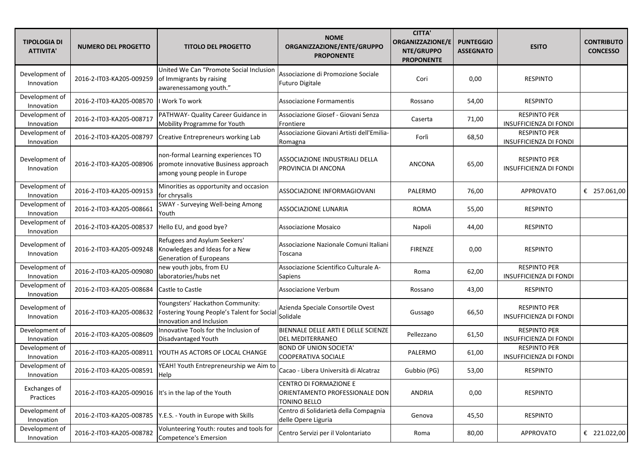| <b>TIPOLOGIA DI</b><br><b>ATTIVITA'</b> | <b>NUMERO DEL PROGETTO</b>                             | <b>TITOLO DEL PROGETTO</b>                                                                                 | <b>NOME</b><br>ORGANIZZAZIONE/ENTE/GRUPPO<br><b>PROPONENTE</b>           | <b>CITTA'</b><br>ORGANIZZAZIONE/E<br>NTE/GRUPPO<br><b>PROPONENTE</b> | <b>PUNTEGGIO</b><br><b>ASSEGNATO</b> | <b>ESITO</b>                                         | <b>CONTRIBUTO</b><br><b>CONCESSO</b> |
|-----------------------------------------|--------------------------------------------------------|------------------------------------------------------------------------------------------------------------|--------------------------------------------------------------------------|----------------------------------------------------------------------|--------------------------------------|------------------------------------------------------|--------------------------------------|
| Development of<br>Innovation            | 2016-2-IT03-KA205-009259                               | United We Can "Promote Social Inclusion<br>of Immigrants by raising<br>awarenessamong youth."              | Associazione di Promozione Sociale<br><b>Futuro Digitale</b>             | Cori                                                                 | 0,00                                 | <b>RESPINTO</b>                                      |                                      |
| Development of<br>Innovation            | 2016-2-IT03-KA205-008570                               | I Work To work                                                                                             | Associazione Formamentis                                                 | Rossano                                                              | 54,00                                | <b>RESPINTO</b>                                      |                                      |
| Development of<br>Innovation            | 2016-2-IT03-KA205-008717                               | PATHWAY- Quality Career Guidance in<br>Mobility Programme for Youth                                        | Associazione Giosef - Giovani Senza<br>Frontiere                         | Caserta                                                              | 71,00                                | <b>RESPINTO PER</b><br><b>INSUFFICIENZA DI FONDI</b> |                                      |
| Development of<br>Innovation            | 2016-2-IT03-KA205-008797                               | Creative Entrepreneurs working Lab                                                                         | Associazione Giovani Artisti dell'Emilia-<br>Romagna                     | Forlì                                                                | 68,50                                | <b>RESPINTO PER</b><br><b>INSUFFICIENZA DI FONDI</b> |                                      |
| Development of<br>Innovation            | 2016-2-IT03-KA205-008906                               | non-formal Learning experiences TO<br>promote innovative Business approach<br>among young people in Europe | ASSOCIAZIONE INDUSTRIALI DELLA<br>PROVINCIA DI ANCONA                    | ANCONA                                                               | 65,00                                | <b>RESPINTO PER</b><br><b>INSUFFICIENZA DI FONDI</b> |                                      |
| Development of<br>Innovation            | 2016-2-IT03-KA205-009153                               | Minorities as opportunity and occasion<br>for chrysalis                                                    | ASSOCIAZIONE INFORMAGIOVANI                                              | PALERMO                                                              | 76,00                                | <b>APPROVATO</b>                                     | € 257.061,00                         |
| Development of<br>Innovation            | 2016-2-IT03-KA205-008661                               | SWAY - Surveying Well-being Among<br>Youth                                                                 | <b>ASSOCIAZIONE LUNARIA</b>                                              | <b>ROMA</b>                                                          | 55,00                                | <b>RESPINTO</b>                                      |                                      |
| Development of<br>Innovation            | 2016-2-IT03-KA205-008537                               | Hello EU, and good bye?                                                                                    | <b>Associazione Mosaico</b>                                              | Napoli                                                               | 44,00                                | <b>RESPINTO</b>                                      |                                      |
| Development of<br>Innovation            | 2016-2-IT03-KA205-009248                               | Refugees and Asylum Seekers'<br>Knowledges and Ideas for a New<br>Generation of Europeans                  | Associazione Nazionale Comuni Italiani<br>Toscana                        | <b>FIRENZE</b>                                                       | 0,00                                 | <b>RESPINTO</b>                                      |                                      |
| Development of<br>Innovation            | 2016-2-IT03-KA205-009080                               | new youth jobs, from EU<br>laboratories/hubs net                                                           | Associazione Scientifico Culturale A-<br>Sapiens                         | Roma                                                                 | 62,00                                | <b>RESPINTO PER</b><br><b>INSUFFICIENZA DI FONDI</b> |                                      |
| Development of<br>Innovation            | 2016-2-IT03-KA205-008684                               | Castle to Castle                                                                                           | Associazione Verbum                                                      | Rossano                                                              | 43,00                                | <b>RESPINTO</b>                                      |                                      |
| Development of<br>Innovation            | 2016-2-IT03-KA205-008632                               | Youngsters' Hackathon Community:<br>Fostering Young People's Talent for Social<br>Innovation and Inclusion | Azienda Speciale Consortile Ovest<br>Solidale                            | Gussago                                                              | 66,50                                | <b>RESPINTO PER</b><br><b>INSUFFICIENZA DI FONDI</b> |                                      |
| Development of<br>Innovation            | 2016-2-IT03-KA205-008609                               | Innovative Tools for the Inclusion of<br>Disadvantaged Youth                                               | BIENNALE DELLE ARTI E DELLE SCIENZE<br>DEL MEDITERRANEO                  | Pellezzano                                                           | 61,50                                | <b>RESPINTO PER</b><br><b>INSUFFICIENZA DI FONDI</b> |                                      |
| Development of<br>Innovation            | 2016-2-IT03-KA205-008911                               | YOUTH AS ACTORS OF LOCAL CHANGE                                                                            | <b>BOND OF UNION SOCIETA'</b><br>COOPERATIVA SOCIALE                     | PALERMO                                                              | 61,00                                | <b>RESPINTO PER</b><br><b>INSUFFICIENZA DI FONDI</b> |                                      |
| Development of<br>Innovation            | 2016-2-IT03-KA205-008591                               | YEAH! Youth Entrepreneurship we Aim to<br>Help                                                             | Cacao - Libera Università di Alcatraz                                    | Gubbio (PG)                                                          | 53,00                                | RESPINTO                                             |                                      |
| Exchanges of<br>Practices               | 2016-2-IT03-KA205-009016  It's in the lap of the Youth |                                                                                                            | CENTRO DI FORMAZIONE E<br>ORIENTAMENTO PROFESSIONALE DON<br>TONINO BELLO | ANDRIA                                                               | 0,00                                 | <b>RESPINTO</b>                                      |                                      |
| Development of<br>Innovation            |                                                        | 2016-2-IT03-KA205-008785   Y.E.S. - Youth in Europe with Skills                                            | Centro di Solidarietà della Compagnia<br>delle Opere Liguria             | Genova                                                               | 45,50                                | <b>RESPINTO</b>                                      |                                      |
| Development of<br>Innovation            | 2016-2-IT03-KA205-008782                               | Volunteering Youth: routes and tools for<br>Competence's Emersion                                          | Centro Servizi per il Volontariato                                       | Roma                                                                 | 80,00                                | APPROVATO                                            | € 221.022,00                         |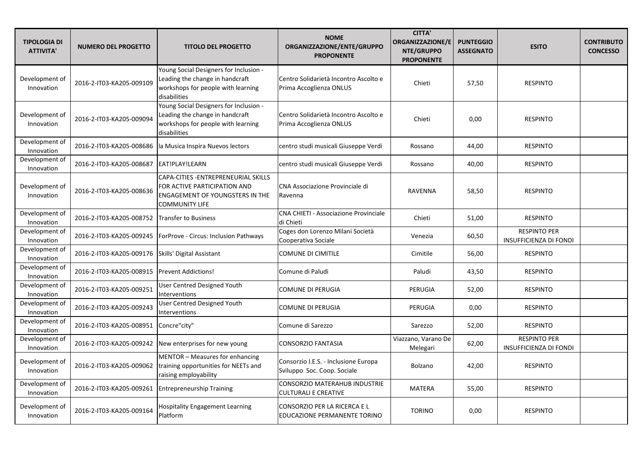| <b>TIPOLOGIA DI</b><br><b>ATTIVITA'</b> | <b>NUMERO DEL PROGETTO</b>                    | <b>TITOLO DEL PROGETTO</b>                                                                                                       | <b>NOME</b><br>ORGANIZZAZIONE/ENTE/GRUPPO<br><b>PROPONENTE</b>      | <b>CITTA'</b><br><b>ORGANIZZAZIONE/E</b><br>NTE/GRUPPO<br><b>PROPONENTE</b> | <b>PUNTEGGIO</b><br><b>ASSEGNATO</b> | <b>ESITO</b>                                         | <b>CONTRIBUTO</b><br><b>CONCESSO</b> |
|-----------------------------------------|-----------------------------------------------|----------------------------------------------------------------------------------------------------------------------------------|---------------------------------------------------------------------|-----------------------------------------------------------------------------|--------------------------------------|------------------------------------------------------|--------------------------------------|
| Development of<br>Innovation            | 2016-2-IT03-KA205-009109                      | Young Social Designers for Inclusion -<br>Leading the change in handcraft<br>workshops for people with learning<br>disabilities  | Centro Solidarietà Incontro Ascolto e<br>Prima Accoglienza ONLUS    | Chieti                                                                      | 57,50                                | <b>RESPINTO</b>                                      |                                      |
| Development of<br>Innovation            | 2016-2-IT03-KA205-009094                      | Young Social Designers for Inclusion -<br>Leading the change in handcraft<br>workshops for people with learning<br>disabilities  | Centro Solidarietà Incontro Ascolto e<br>Prima Accoglienza ONLUS    | Chieti                                                                      | 0,00                                 | <b>RESPINTO</b>                                      |                                      |
| Development of<br>Innovation            | 2016-2-IT03-KA205-008686                      | la Musica Inspira Nuevos lectors                                                                                                 | centro studi musicali Giuseppe Verdi                                | Rossano                                                                     | 44,00                                | <b>RESPINTO</b>                                      |                                      |
| Development of<br>Innovation            | 2016-2-IT03-KA205-008687                      | EAT!PLAY!LEARN                                                                                                                   | centro studi musicali Giuseppe Verdi                                | Rossano                                                                     | 40,00                                | <b>RESPINTO</b>                                      |                                      |
| Development of<br>Innovation            | 2016-2-IT03-KA205-008636                      | CAPA-CITIES - ENTREPRENEURIAL SKILLS<br>FOR ACTIVE PARTICIPATION AND<br>ENGAGEMENT OF YOUNGSTERS IN THE<br><b>COMMUNITY LIFE</b> | CNA Associazione Provinciale di<br>Ravenna                          | <b>RAVENNA</b>                                                              | 58,50                                | <b>RESPINTO</b>                                      |                                      |
| Development of<br>Innovation            | 2016-2-IT03-KA205-008752 Transfer to Business |                                                                                                                                  | <b>CNA CHIETI - Associazione Provinciale</b><br>di Chieti           | Chieti                                                                      | 51,00                                | <b>RESPINTO</b>                                      |                                      |
| Development of<br>Innovation            | 2016-2-IT03-KA205-009245                      | ForProve - Circus: Inclusion Pathways                                                                                            | Coges don Lorenzo Milani Società<br>Cooperativa Sociale             | Venezia                                                                     | 60,50                                | <b>RESPINTO PER</b><br><b>INSUFFICIENZA DI FONDI</b> |                                      |
| Development of<br>Innovation            | 2016-2-IT03-KA205-009176                      | Skills' Digital Assistant                                                                                                        | <b>COMUNE DI CIMITILE</b>                                           | Cimitile                                                                    | 56,00                                | <b>RESPINTO</b>                                      |                                      |
| Development of<br>Innovation            | 2016-2-IT03-KA205-008915                      | <b>Prevent Addictions!</b>                                                                                                       | Comune di Paludi                                                    | Paludi                                                                      | 43,50                                | <b>RESPINTO</b>                                      |                                      |
| Development of<br>Innovation            | 2016-2-IT03-KA205-009251                      | <b>User Centred Designed Youth</b><br>Interventions                                                                              | COMUNE DI PERUGIA                                                   | <b>PERUGIA</b>                                                              | 52,00                                | <b>RESPINTO</b>                                      |                                      |
| Development of<br>Innovation            | 2016-2-IT03-KA205-009243                      | User Centred Designed Youth<br>Interventions                                                                                     | COMUNE DI PERUGIA                                                   | PERUGIA                                                                     | 0,00                                 | <b>RESPINTO</b>                                      |                                      |
| Development of<br>Innovation            | 2016-2-IT03-KA205-008951                      | Concre"city"                                                                                                                     | Comune di Sarezzo                                                   | Sarezzo                                                                     | 52,00                                | <b>RESPINTO</b>                                      |                                      |
| Development of<br>Innovation            | 2016-2-IT03-KA205-009242                      | New enterprises for new young                                                                                                    | <b>CONSORZIO FANTASIA</b>                                           | Viazzano, Varano De<br>Melegari                                             | 62,00                                | <b>RESPINTO PER</b><br><b>INSUFFICIENZA DI FONDI</b> |                                      |
| Development of<br>Innovation            | 2016-2-IT03-KA205-009062                      | MENTOR - Measures for enhancing<br>training opportunities for NEETs and<br>raising employability                                 | Consorzio I.E.S. - Inclusione Europa<br>Sviluppo Soc. Coop. Sociale | <b>Bolzano</b>                                                              | 42,00                                | <b>RESPINTO</b>                                      |                                      |
| Development of<br>Innovation            | 2016-2-IT03-KA205-009261                      | <b>Entrepreneurship Training</b>                                                                                                 | <b>CONSORZIO MATERAHUB INDUSTRIE</b><br>CULTURALI E CREATIVE        | <b>MATERA</b>                                                               | 55,00                                | <b>RESPINTO</b>                                      |                                      |
| Development of<br>Innovation            | 2016-2-IT03-KA205-009164                      | Hospitality Engagement Learning<br>Platform                                                                                      | CONSORZIO PER LA RICERCA E L<br>EDUCAZIONE PERMANENTE TORINO        | <b>TORINO</b>                                                               | 0,00                                 | <b>RESPINTO</b>                                      |                                      |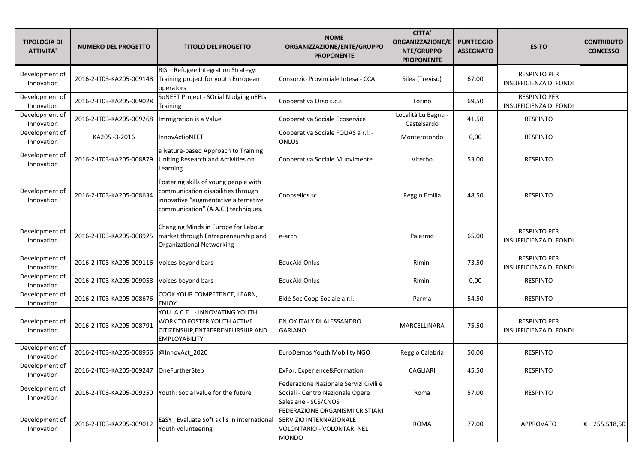| <b>TIPOLOGIA DI</b><br><b>ATTIVITA'</b> | <b>NUMERO DEL PROGETTO</b>              | <b>TITOLO DEL PROGETTO</b>                                                                                                                                 | <b>NOME</b><br>ORGANIZZAZIONE/ENTE/GRUPPO<br><b>PROPONENTE</b>                                     | <b>CITTA'</b><br><b>ORGANIZZAZIONE/E</b><br>NTE/GRUPPO<br><b>PROPONENTE</b> | <b>PUNTEGGIO</b><br><b>ASSEGNATO</b> | <b>ESITO</b>                                         | <b>CONTRIBUTO</b><br><b>CONCESSO</b> |
|-----------------------------------------|-----------------------------------------|------------------------------------------------------------------------------------------------------------------------------------------------------------|----------------------------------------------------------------------------------------------------|-----------------------------------------------------------------------------|--------------------------------------|------------------------------------------------------|--------------------------------------|
| Development of<br>Innovation            | 2016-2-IT03-KA205-009148                | RIS - Refugee Integration Strategy:<br>Training project for youth European<br>operators                                                                    | Consorzio Provinciale Intesa - CCA                                                                 | Silea (Treviso)                                                             | 67,00                                | <b>RESPINTO PER</b><br><b>INSUFFICIENZA DI FONDI</b> |                                      |
| Development of<br>Innovation            | 2016-2-IT03-KA205-009028                | SoNEET Project - SOcial Nudging nEEts<br><b>Training</b>                                                                                                   | Cooperativa Orso s.c.s                                                                             | Torino                                                                      | 69,50                                | <b>RESPINTO PER</b><br><b>INSUFFICIENZA DI FONDI</b> |                                      |
| Development of<br>Innovation            | 2016-2-IT03-KA205-009268                | Immigration is a Value                                                                                                                                     | Cooperativa Sociale Ecoservice                                                                     | Località Lu Bagnu -<br>Castelsardo                                          | 41,50                                | <b>RESPINTO</b>                                      |                                      |
| Development of<br>Innovation            | KA205-3-2016                            | InnovActioNEET                                                                                                                                             | Cooperativa Sociale FOLIAS a r.l. -<br><b>ONLUS</b>                                                | Monterotondo                                                                | 0,00                                 | <b>RESPINTO</b>                                      |                                      |
| Development of<br>Innovation            | 2016-2-IT03-KA205-008879                | a Nature-based Approach to Training<br>Uniting Research and Activities on<br>Learning                                                                      | Cooperativa Sociale Muovimente                                                                     | Viterbo                                                                     | 53,00                                | <b>RESPINTO</b>                                      |                                      |
| Development of<br>Innovation            | 2016-2-IT03-KA205-008634                | Fostering skills of young people with<br>communication disabilities through<br>innovative "augmentative alternative<br>communication" (A.A.C.) techniques. | Coopselios sc                                                                                      | Reggio Emilia                                                               | 48,50                                | <b>RESPINTO</b>                                      |                                      |
| Development of<br>Innovation            | 2016-2-IT03-KA205-008925                | Changing Minds in Europe for Labour<br>market through Entrepreneurship and<br>Organizational Networking                                                    | e-arch                                                                                             | Palermo                                                                     | 65,00                                | <b>RESPINTO PER</b><br><b>INSUFFICIENZA DI FONDI</b> |                                      |
| Development of<br>Innovation            | 2016-2-IT03-KA205-009116                | Voices beyond bars                                                                                                                                         | <b>EducAid Onlus</b>                                                                               | Rimini                                                                      | 73,50                                | <b>RESPINTO PER</b><br><b>INSUFFICIENZA DI FONDI</b> |                                      |
| Development of<br>Innovation            | 2016-2-IT03-KA205-009058                | Voices beyond bars                                                                                                                                         | <b>EducAid Onlus</b>                                                                               | Rimini                                                                      | 0,00                                 | <b>RESPINTO</b>                                      |                                      |
| Development of<br>Innovation            | 2016-2-IT03-KA205-008676                | COOK YOUR COMPETENCE, LEARN,<br><b>ENJOY</b>                                                                                                               | Eidè Soc Coop Sociale a.r.l.                                                                       | Parma                                                                       | 54,50                                | <b>RESPINTO</b>                                      |                                      |
| Development of<br>Innovation            | 2016-2-IT03-KA205-008791                | YOU. A.C.E.! - INNOVATING YOUTH<br>WORK TO FOSTER YOUTH ACTIVE<br>CITIZENSHIP, ENTREPRENEURSHIP AND<br><b>EMPLOYABILITY</b>                                | ENJOY ITALY DI ALESSANDRO<br><b>GARIANO</b>                                                        | MARCELLINARA                                                                | 75,50                                | <b>RESPINTO PER</b><br>INSUFFICIENZA DI FONDI        |                                      |
| Development of<br>Innovation            | 2016-2-IT03-KA205-008956                | @InnovAct_2020                                                                                                                                             | EuroDemos Youth Mobility NGO                                                                       | Reggio Calabria                                                             | 50,00                                | <b>RESPINTO</b>                                      |                                      |
| Development of<br>Innovation            | 2016-2-IT03-KA205-009247 OneFurtherStep |                                                                                                                                                            | ExFor, Experience&Formation                                                                        | CAGLIARI                                                                    | 45,50                                | <b>RESPINTO</b>                                      |                                      |
| Development of<br>Innovation            | 2016-2-IT03-KA205-009250                | Youth: Social value for the future                                                                                                                         | Federazione Nazionale Servizi Civili e<br>Sociali - Centro Nazionale Opere<br>Salesiane - SCS/CNOS | Roma                                                                        | 57,00                                | <b>RESPINTO</b>                                      |                                      |
| Development of<br>Innovation            | 2016-2-IT03-KA205-009012                | EaSY_Evaluate Soft skills in international SERVIZIO INTERNAZIONALE<br>Youth volunteering                                                                   | FEDERAZIONE ORGANISMI CRISTIANI<br>VOLONTARIO - VOLONTARI NEL<br><b>MONDO</b>                      | <b>ROMA</b>                                                                 | 77,00                                | APPROVATO                                            | € 255.518,50                         |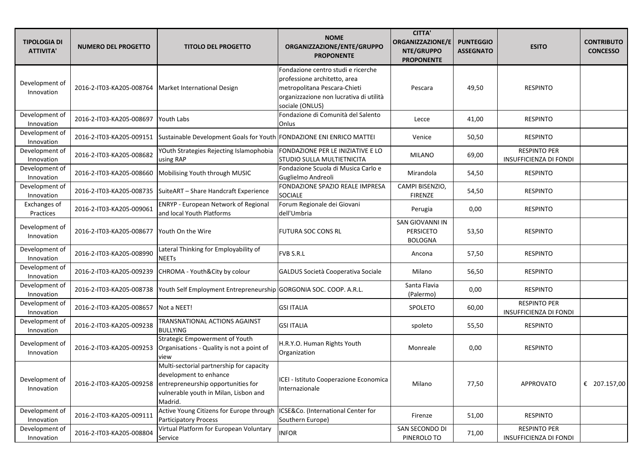| <b>TIPOLOGIA DI</b><br><b>ATTIVITA'</b> | <b>NUMERO DEL PROGETTO</b>                             | <b>TITOLO DEL PROGETTO</b>                                                                                                                                   | <b>NOME</b><br>ORGANIZZAZIONE/ENTE/GRUPPO<br><b>PROPONENTE</b>                                                                                                   | <b>CITTA'</b><br><b>ORGANIZZAZIONE/E</b><br>NTE/GRUPPO<br><b>PROPONENTE</b> | <b>PUNTEGGIO</b><br><b>ASSEGNATO</b> | <b>ESITO</b>                                         | <b>CONTRIBUTO</b><br><b>CONCESSO</b> |
|-----------------------------------------|--------------------------------------------------------|--------------------------------------------------------------------------------------------------------------------------------------------------------------|------------------------------------------------------------------------------------------------------------------------------------------------------------------|-----------------------------------------------------------------------------|--------------------------------------|------------------------------------------------------|--------------------------------------|
| Development of<br>Innovation            | 2016-2-IT03-KA205-008764   Market International Design |                                                                                                                                                              | Fondazione centro studi e ricerche<br>professione architetto, area<br>metropolitana Pescara-Chieti<br>organizzazione non lucrativa di utilità<br>sociale (ONLUS) | Pescara                                                                     | 49,50                                | <b>RESPINTO</b>                                      |                                      |
| Development of<br>Innovation            | 2016-2-IT03-KA205-008697                               | Youth Labs                                                                                                                                                   | Fondazione di Comunità del Salento<br>Onlus                                                                                                                      | Lecce                                                                       | 41,00                                | <b>RESPINTO</b>                                      |                                      |
| Development of<br>Innovation            | 2016-2-IT03-KA205-009151                               | Sustainable Development Goals for Youth FONDAZIONE ENI ENRICO MATTEI                                                                                         |                                                                                                                                                                  | Venice                                                                      | 50,50                                | <b>RESPINTO</b>                                      |                                      |
| Development of<br>Innovation            | 2016-2-IT03-KA205-008682                               | YOuth Strategies Rejecting Islamophobia<br>using RAP                                                                                                         | FONDAZIONE PER LE INIZIATIVE E LO<br>STUDIO SULLA MULTIETNICITA                                                                                                  | <b>MILANO</b>                                                               | 69,00                                | <b>RESPINTO PER</b><br><b>INSUFFICIENZA DI FONDI</b> |                                      |
| Development of<br>Innovation            | 2016-2-IT03-KA205-008660                               | Mobilising Youth through MUSIC                                                                                                                               | Fondazione Scuola di Musica Carlo e<br>Guglielmo Andreoli                                                                                                        | Mirandola                                                                   | 54,50                                | <b>RESPINTO</b>                                      |                                      |
| Development of<br>Innovation            | 2016-2-IT03-KA205-008735                               | SuiteART - Share Handcraft Experience                                                                                                                        | FONDAZIONE SPAZIO REALE IMPRESA<br>SOCIALE                                                                                                                       | CAMPI BISENZIO,<br><b>FIRENZE</b>                                           | 54,50                                | <b>RESPINTO</b>                                      |                                      |
| Exchanges of<br>Practices               | 2016-2-IT03-KA205-009061                               | <b>ENRYP - European Network of Regional</b><br>and local Youth Platforms                                                                                     | Forum Regionale dei Giovani<br>dell'Umbria                                                                                                                       | Perugia                                                                     | 0,00                                 | <b>RESPINTO</b>                                      |                                      |
| Development of<br>Innovation            | 2016-2-IT03-KA205-008677                               | Youth On the Wire                                                                                                                                            | <b>FUTURA SOC CONS RL</b>                                                                                                                                        | SAN GIOVANNI IN<br><b>PERSICETO</b><br><b>BOLOGNA</b>                       | 53,50                                | <b>RESPINTO</b>                                      |                                      |
| Development of<br>Innovation            | 2016-2-IT03-KA205-008990                               | Lateral Thinking for Employability of<br><b>NEETs</b>                                                                                                        | <b>FVB S.R.L</b>                                                                                                                                                 | Ancona                                                                      | 57,50                                | <b>RESPINTO</b>                                      |                                      |
| Development of<br>Innovation            | 2016-2-IT03-KA205-009239                               | CHROMA - Youth&City by colour                                                                                                                                | GALDUS Società Cooperativa Sociale                                                                                                                               | Milano                                                                      | 56,50                                | <b>RESPINTO</b>                                      |                                      |
| Development of<br>Innovation            | 2016-2-IT03-KA205-008738                               | Youth Self Employment Entrepreneurship GORGONIA SOC. COOP. A.R.L.                                                                                            |                                                                                                                                                                  | Santa Flavia<br>(Palermo)                                                   | 0,00                                 | <b>RESPINTO</b>                                      |                                      |
| Development of<br>Innovation            | 2016-2-IT03-KA205-008657                               | Not a NEET!                                                                                                                                                  | <b>GSI ITALIA</b>                                                                                                                                                | SPOLETO                                                                     | 60,00                                | <b>RESPINTO PER</b><br><b>INSUFFICIENZA DI FONDI</b> |                                      |
| Development of<br>Innovation            | 2016-2-IT03-KA205-009238                               | TRANSNATIONAL ACTIONS AGAINST<br><b>BULLYING</b>                                                                                                             | <b>GSI ITALIA</b>                                                                                                                                                | spoleto                                                                     | 55,50                                | <b>RESPINTO</b>                                      |                                      |
| Development of<br>Innovation            | 2016-2-IT03-KA205-009253                               | <b>Strategic Empowerment of Youth</b><br>Organisations - Quality is not a point of<br>view                                                                   | H.R.Y.O. Human Rights Youth<br>Organization                                                                                                                      | Monreale                                                                    | 0,00                                 | <b>RESPINTO</b>                                      |                                      |
| Development of<br>Innovation            | 2016-2-IT03-KA205-009258                               | Multi-sectorial partnership for capacity<br>development to enhance<br>entrepreneurship opportunities for<br>vulnerable youth in Milan, Lisbon and<br>Madrid. | ICEI - Istituto Cooperazione Economica<br>Internazionale                                                                                                         | Milano                                                                      | 77,50                                | APPROVATO                                            | € 207.157,00                         |
| Development of<br>Innovation            | 2016-2-IT03-KA205-009111                               | Active Young Citizens for Europe through<br>Participatory Process                                                                                            | ICSE&Co. (International Center for<br>Southern Europe)                                                                                                           | Firenze                                                                     | 51,00                                | <b>RESPINTO</b>                                      |                                      |
| Development of<br>Innovation            | 2016-2-IT03-KA205-008804                               | Virtual Platform for European Voluntary<br>Service                                                                                                           | <b>INFOR</b>                                                                                                                                                     | SAN SECONDO DI<br>PINEROLO TO                                               | 71,00                                | <b>RESPINTO PER</b><br>INSUFFICIENZA DI FONDI        |                                      |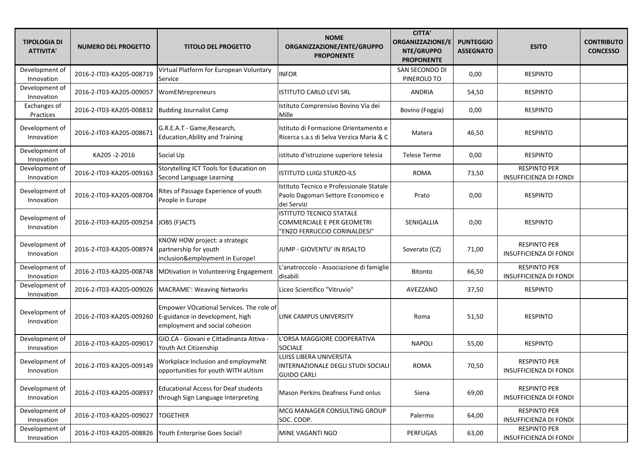| <b>TIPOLOGIA DI</b><br><b>ATTIVITA'</b> | <b>NUMERO DEL PROGETTO</b> | <b>TITOLO DEL PROGETTO</b>                                                                                    | <b>NOME</b><br>ORGANIZZAZIONE/ENTE/GRUPPO<br><b>PROPONENTE</b>                                       | <b>CITTA'</b><br>ORGANIZZAZIONE/E<br>NTE/GRUPPO<br><b>PROPONENTE</b> | <b>PUNTEGGIO</b><br><b>ASSEGNATO</b> | <b>ESITO</b>                                         | <b>CONTRIBUTO</b><br><b>CONCESSO</b> |
|-----------------------------------------|----------------------------|---------------------------------------------------------------------------------------------------------------|------------------------------------------------------------------------------------------------------|----------------------------------------------------------------------|--------------------------------------|------------------------------------------------------|--------------------------------------|
| Development of<br>Innovation            | 2016-2-IT03-KA205-008719   | Virtual Platform for European Voluntary<br>Service                                                            | <b>INFOR</b>                                                                                         | SAN SECONDO DI<br>PINEROLO TO                                        | 0,00                                 | <b>RESPINTO</b>                                      |                                      |
| Development of<br>Innovation            | 2016-2-IT03-KA205-009057   | WomENtrepreneurs                                                                                              | <b>ISTITUTO CARLO LEVI SRL</b>                                                                       | ANDRIA                                                               | 54,50                                | <b>RESPINTO</b>                                      |                                      |
| Exchanges of<br>Practices               | 2016-2-IT03-KA205-008832   | <b>Budding Journalist Camp</b>                                                                                | Istituto Comprensivo Bovino Via dei<br>Mille                                                         | Bovino (Foggia)                                                      | 0,00                                 | <b>RESPINTO</b>                                      |                                      |
| Development of<br>Innovation            | 2016-2-IT03-KA205-008671   | G.R.E.A.T - Game, Research,<br><b>Education, Ability and Training</b>                                         | Istituto di Formazione Orientamento e<br>Ricerca s.a.s di Selva Verzica Maria & C                    | Matera                                                               | 46,50                                | <b>RESPINTO</b>                                      |                                      |
| Development of<br>Innovation            | KA205-2-2016               | Social Up                                                                                                     | istituto d'istruzione superiore telesia                                                              | Telese Terme                                                         | 0,00                                 | <b>RESPINTO</b>                                      |                                      |
| Development of<br>Innovation            | 2016-2-IT03-KA205-009163   | Storytelling ICT Tools for Education on<br>Second Language Learning                                           | <b>ISTITUTO LUIGI STURZO-ILS</b>                                                                     | <b>ROMA</b>                                                          | 73,50                                | <b>RESPINTO PER</b><br>INSUFFICIENZA DI FONDI        |                                      |
| Development of<br>Innovation            | 2016-2-IT03-KA205-008704   | Rites of Passage Experience of youth<br>People in Europe                                                      | Istituto Tecnico e Professionale Statale<br>Paolo Dagomari Settore Economico e<br>dei Servizi        | Prato                                                                | 0,00                                 | <b>RESPINTO</b>                                      |                                      |
| Development of<br>Innovation            | 2016-2-IT03-KA205-009254   | JOBS (F)ACTS                                                                                                  | <b>ISTITUTO TECNICO STATALE</b><br><b>COMMERCIALE E PER GEOMETRI</b><br>"ENZO FERRUCCIO CORINALDESI" | SENIGALLIA                                                           | 0,00                                 | <b>RESPINTO</b>                                      |                                      |
| Development of<br>Innovation            | 2016-2-IT03-KA205-008974   | KNOW HOW project: a strategic<br>partnership for youth<br>inclusion&employment in Europe!                     | JUMP - GIOVENTU' IN RISALTO                                                                          | Soverato (CZ)                                                        | 71,00                                | <b>RESPINTO PER</b><br><b>INSUFFICIENZA DI FONDI</b> |                                      |
| Development of<br>Innovation            | 2016-2-IT03-KA205-008748   | MOtivation in Volunteering Engagement                                                                         | L'anatroccolo - Associazione di famiglie<br>disabili                                                 | Bitonto                                                              | 66,50                                | <b>RESPINTO PER</b><br><b>INSUFFICIENZA DI FONDI</b> |                                      |
| Development of<br>Innovation            | 2016-2-IT03-KA205-009026   | <b>MACRAME': Weaving Networks</b>                                                                             | Liceo Scientifico "Vitruvio"                                                                         | AVEZZANO                                                             | 37,50                                | <b>RESPINTO</b>                                      |                                      |
| Development of<br>Innovation            | 2016-2-IT03-KA205-009260   | Empower VOcational Services. The role of<br>E-guidance in development, high<br>employment and social cohesion | LINK CAMPUS UNIVERSITY                                                                               | Roma                                                                 | 51,50                                | <b>RESPINTO</b>                                      |                                      |
| Development of<br>Innovation            | 2016-2-IT03-KA205-009017   | GIO.CA - Giovani e Cittadinanza Attiva -<br>Youth Act Citizenship                                             | 'ORSA MAGGIORE COOPERATIVA<br><b>SOCIALE</b>                                                         | <b>NAPOLI</b>                                                        | 55,00                                | <b>RESPINTO</b>                                      |                                      |
| Development of<br>Innovation            | 2016-2-IT03-KA205-009149   | Workplace Inclusion and employmeNt<br>opportunities for youth WITH aUtism                                     | LUISS LIBERA UNIVERSITA<br>INTERNAZIONALE DEGLI STUDI SOCIALI<br><b>GUIDO CARLI</b>                  | <b>ROMA</b>                                                          | 70,50                                | <b>RESPINTO PER</b><br>INSUFFICIENZA DI FONDI        |                                      |
| Development of<br>Innovation            | 2016-2-IT03-KA205-008937   | <b>Educational Access for Deaf students</b><br>through Sign Language Interpreting                             | Mason Perkins Deafness Fund onlus                                                                    | Siena                                                                | 69,00                                | <b>RESPINTO PER</b><br><b>INSUFFICIENZA DI FONDI</b> |                                      |
| Development of<br>Innovation            | 2016-2-IT03-KA205-009027   | <b>TOGETHER</b>                                                                                               | MCG MANAGER CONSULTING GROUP<br>SOC. COOP.                                                           | Palermo                                                              | 64,00                                | <b>RESPINTO PER</b><br><b>INSUFFICIENZA DI FONDI</b> |                                      |
| Development of<br>Innovation            | 2016-2-IT03-KA205-008826   | Youth Enterprise Goes Social!                                                                                 | MINE VAGANTI NGO                                                                                     | <b>PERFUGAS</b>                                                      | 63,00                                | <b>RESPINTO PER</b><br>INSUFFICIENZA DI FONDI        |                                      |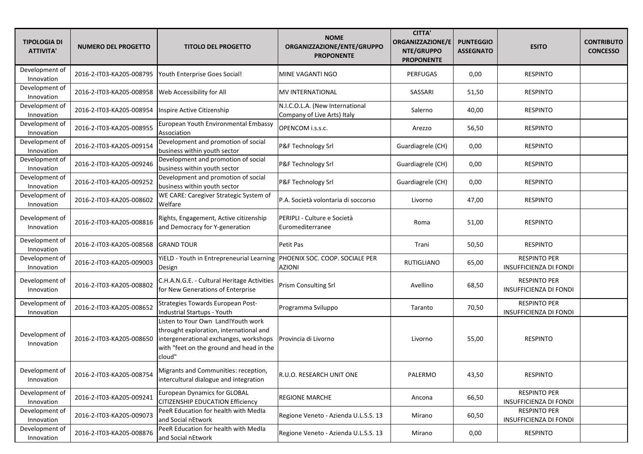| <b>TIPOLOGIA DI</b><br><b>ATTIVITA'</b> | <b>NUMERO DEL PROGETTO</b> | <b>TITOLO DEL PROGETTO</b>                                                                                                                                                    | <b>NOME</b><br>ORGANIZZAZIONE/ENTE/GRUPPO<br><b>PROPONENTE</b> | <b>CITTA'</b><br><b>ORGANIZZAZIONE/E</b><br>NTE/GRUPPO<br><b>PROPONENTE</b> | <b>PUNTEGGIO</b><br><b>ASSEGNATO</b> | <b>ESITO</b>                                         | <b>CONTRIBUTO</b><br><b>CONCESSO</b> |
|-----------------------------------------|----------------------------|-------------------------------------------------------------------------------------------------------------------------------------------------------------------------------|----------------------------------------------------------------|-----------------------------------------------------------------------------|--------------------------------------|------------------------------------------------------|--------------------------------------|
| Development of<br>Innovation            | 2016-2-IT03-KA205-008795   | Youth Enterprise Goes Social!                                                                                                                                                 | MINE VAGANTI NGO                                               | PERFUGAS                                                                    | 0,00                                 | <b>RESPINTO</b>                                      |                                      |
| Development of<br>Innovation            | 2016-2-IT03-KA205-008958   | Web Accessibility for All                                                                                                                                                     | MV INTERNATIONAL                                               | SASSARI                                                                     | 51,50                                | <b>RESPINTO</b>                                      |                                      |
| Development of<br>Innovation            | 2016-2-IT03-KA205-008954   | Inspire Active Citizenship                                                                                                                                                    | N.I.C.O.L.A. (New International<br>Company of Live Arts) Italy | Salerno                                                                     | 40,00                                | <b>RESPINTO</b>                                      |                                      |
| Development of<br>Innovation            | 2016-2-IT03-KA205-008955   | European Youth Environmental Embassy<br>Association                                                                                                                           | OPENCOM i.s.s.c.                                               | Arezzo                                                                      | 56,50                                | <b>RESPINTO</b>                                      |                                      |
| Development of<br>Innovation            | 2016-2-IT03-KA205-009154   | Development and promotion of social<br>business within youth sector                                                                                                           | P&F Technology Srl                                             | Guardiagrele (CH)                                                           | 0,00                                 | <b>RESPINTO</b>                                      |                                      |
| Development of<br>Innovation            | 2016-2-IT03-KA205-009246   | Development and promotion of social<br>business within youth sector                                                                                                           | P&F Technology Srl                                             | Guardiagrele (CH)                                                           | 0,00                                 | <b>RESPINTO</b>                                      |                                      |
| Development of<br>Innovation            | 2016-2-IT03-KA205-009252   | Development and promotion of social<br>business within youth sector                                                                                                           | P&F Technology Srl                                             | Guardiagrele (CH)                                                           | 0,00                                 | <b>RESPINTO</b>                                      |                                      |
| Development of<br>Innovation            | 2016-2-IT03-KA205-008602   | WE CARE: Caregiver Strategic System of<br>Welfare                                                                                                                             | P.A. Società volontaria di soccorso                            | Livorno                                                                     | 47,00                                | <b>RESPINTO</b>                                      |                                      |
| Development of<br>Innovation            | 2016-2-IT03-KA205-008816   | Rights, Engagement, Active citizenship<br>and Democracy for Y-generation                                                                                                      | PERIPLI - Culture e Società<br>Euromediterranee                | Roma                                                                        | 51,00                                | <b>RESPINTO</b>                                      |                                      |
| Development of<br>Innovation            | 2016-2-IT03-KA205-008568   | <b>GRAND TOUR</b>                                                                                                                                                             | Petit Pas                                                      | Trani                                                                       | 50,50                                | <b>RESPINTO</b>                                      |                                      |
| Development of<br>Innovation            | 2016-2-IT03-KA205-009003   | YiELD - Youth in Entrepreneurial Learning<br>Design                                                                                                                           | PHOENIX SOC. COOP. SOCIALE PER<br><b>AZIONI</b>                | <b>RUTIGLIANO</b>                                                           | 65,00                                | <b>RESPINTO PER</b><br><b>INSUFFICIENZA DI FONDI</b> |                                      |
| Development of<br>Innovation            | 2016-2-IT03-KA205-008802   | C.H.A.N.G.E. - Cultural Heritage Activities<br>for New Generations of Enterprise                                                                                              | <b>Prism Consulting Srl</b>                                    | Avellino                                                                    | 68,50                                | <b>RESPINTO PER</b><br><b>INSUFFICIENZA DI FONDI</b> |                                      |
| Development of<br>Innovation            | 2016-2-IT03-KA205-008652   | Strategies Towards European Post-<br><b>Industrial Startups - Youth</b>                                                                                                       | Programma Sviluppo                                             | Taranto                                                                     | 70,50                                | <b>RESPINTO PER</b><br><b>INSUFFICIENZA DI FONDI</b> |                                      |
| Development of<br>Innovation            | 2016-2-IT03-KA205-008650   | Listen to Your Own Land!Youth work<br>throught exploration, international and<br>intergenerational exchanges, workshops<br>with "feet on the ground and head in the<br>cloud" | Provincia di Livorno                                           | Livorno                                                                     | 55,00                                | <b>RESPINTO</b>                                      |                                      |
| Development of<br>Innovation            | 2016-2-IT03-KA205-008754   | Migrants and Communities: reception,<br>intercultural dialogue and integration                                                                                                | R.U.O. RESEARCH UNIT ONE                                       | PALERMO                                                                     | 43,50                                | <b>RESPINTO</b>                                      |                                      |
| Development of<br>Innovation            | 2016-2-IT03-KA205-009241   | <b>European Dynamics for GLOBAL</b><br>CITIZENSHIP EDUCATION Efficiency                                                                                                       | <b>REGIONE MARCHE</b>                                          | Ancona                                                                      | 66,50                                | <b>RESPINTO PER</b><br><b>INSUFFICIENZA DI FONDI</b> |                                      |
| Development of<br>Innovation            | 2016-2-IT03-KA205-009073   | PeeR Education for health with Medla<br>and Social nEtwork                                                                                                                    | Regione Veneto - Azienda U.L.S.S. 13                           | Mirano                                                                      | 60,50                                | <b>RESPINTO PER</b><br><b>INSUFFICIENZA DI FONDI</b> |                                      |
| Development of<br>Innovation            | 2016-2-IT03-KA205-008876   | PeeR Education for health with Medla<br>and Social nEtwork                                                                                                                    | Regione Veneto - Azienda U.L.S.S. 13                           | Mirano                                                                      | 0,00                                 | RESPINTO                                             |                                      |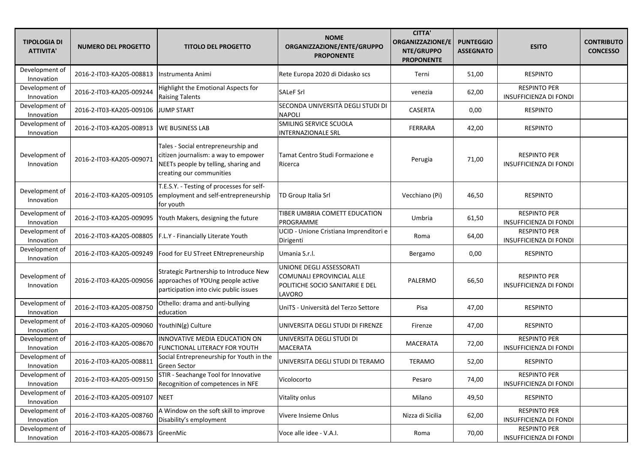| <b>TIPOLOGIA DI</b><br><b>ATTIVITA'</b> | <b>NUMERO DEL PROGETTO</b>        | <b>TITOLO DEL PROGETTO</b>                                                                                                                      | <b>NOME</b><br>ORGANIZZAZIONE/ENTE/GRUPPO<br><b>PROPONENTE</b>                                     | <b>CITTA'</b><br><b>ORGANIZZAZIONE/E</b><br>NTE/GRUPPO<br><b>PROPONENTE</b> | <b>PUNTEGGIO</b><br><b>ASSEGNATO</b> | <b>ESITO</b>                                         | <b>CONTRIBUTO</b><br><b>CONCESSO</b> |
|-----------------------------------------|-----------------------------------|-------------------------------------------------------------------------------------------------------------------------------------------------|----------------------------------------------------------------------------------------------------|-----------------------------------------------------------------------------|--------------------------------------|------------------------------------------------------|--------------------------------------|
| Development of<br>Innovation            | 2016-2-IT03-KA205-008813          | Instrumenta Animi                                                                                                                               | Rete Europa 2020 di Didasko scs                                                                    | Terni                                                                       | 51,00                                | <b>RESPINTO</b>                                      |                                      |
| Development of<br>Innovation            | 2016-2-IT03-KA205-009244          | Highlight the Emotional Aspects for<br><b>Raising Talents</b>                                                                                   | <b>SALeF Srl</b>                                                                                   | venezia                                                                     | 62,00                                | <b>RESPINTO PER</b><br><b>INSUFFICIENZA DI FONDI</b> |                                      |
| Development of<br>Innovation            | 2016-2-IT03-KA205-009106          | <b>JUMP START</b>                                                                                                                               | SECONDA UNIVERSITÀ DEGLI STUDI DI<br>NAPOLI                                                        | CASERTA                                                                     | 0,00                                 | <b>RESPINTO</b>                                      |                                      |
| Development of<br>Innovation            | 2016-2-IT03-KA205-008913          | <b>WE BUSINESS LAB</b>                                                                                                                          | SMILING SERVICE SCUOLA<br><b>INTERNAZIONALE SRL</b>                                                | <b>FERRARA</b>                                                              | 42,00                                | <b>RESPINTO</b>                                      |                                      |
| Development of<br>Innovation            | 2016-2-IT03-KA205-009071          | Tales - Social entrepreneurship and<br>citizen journalism: a way to empower<br>NEETs people by telling, sharing and<br>creating our communities | Tamat Centro Studi Formazione e<br>Ricerca                                                         | Perugia                                                                     | 71,00                                | <b>RESPINTO PER</b><br><b>INSUFFICIENZA DI FONDI</b> |                                      |
| Development of<br>Innovation            | 2016-2-IT03-KA205-009105          | T.E.S.Y. - Testing of processes for self-<br>employment and self-entrepreneurship<br>for youth                                                  | TD Group Italia Srl                                                                                | Vecchiano (Pi)                                                              | 46,50                                | <b>RESPINTO</b>                                      |                                      |
| Development of<br>Innovation            | 2016-2-IT03-KA205-009095          | Youth Makers, designing the future                                                                                                              | TIBER UMBRIA COMETT EDUCATION<br>PROGRAMME                                                         | Umbria                                                                      | 61,50                                | <b>RESPINTO PER</b><br><b>INSUFFICIENZA DI FONDI</b> |                                      |
| Development of<br>Innovation            | 2016-2-IT03-KA205-008805          | F.L.Y - Financially Literate Youth                                                                                                              | UCID - Unione Cristiana Imprenditori e<br>Dirigenti                                                | Roma                                                                        | 64,00                                | <b>RESPINTO PER</b><br><b>INSUFFICIENZA DI FONDI</b> |                                      |
| Development of<br>Innovation            | 2016-2-IT03-KA205-009249          | Food for EU STreet ENtrepreneurship                                                                                                             | Umania S.r.l.                                                                                      | Bergamo                                                                     | 0,00                                 | <b>RESPINTO</b>                                      |                                      |
| Development of<br>Innovation            | 2016-2-IT03-KA205-009056          | Strategic Partnership to Introduce New<br>approaches of YOUng people active<br>participation into civic public issues                           | UNIONE DEGLI ASSESSORATI<br>COMUNALI EPROVINCIAL ALLE<br>POLITICHE SOCIO SANITARIE E DEL<br>LAVORO | PALERMO                                                                     | 66,50                                | <b>RESPINTO PER</b><br>INSUFFICIENZA DI FONDI        |                                      |
| Development of<br>Innovation            | 2016-2-IT03-KA205-008750          | Othello: drama and anti-bullying<br>education                                                                                                   | UniTS - Università del Terzo Settore                                                               | Pisa                                                                        | 47,00                                | <b>RESPINTO</b>                                      |                                      |
| Development of<br>Innovation            | 2016-2-IT03-KA205-009060          | YouthIN(g) Culture                                                                                                                              | UNIVERSITA DEGLI STUDI DI FIRENZE                                                                  | Firenze                                                                     | 47,00                                | <b>RESPINTO</b>                                      |                                      |
| Development of<br>Innovation            | 2016-2-IT03-KA205-008670          | INNOVATIVE MEDIA EDUCATION ON<br>FUNCTIONAL LITERACY FOR YOUTH                                                                                  | UNIVERSITA DEGLI STUDI DI<br><b>MACERATA</b>                                                       | MACERATA                                                                    | 72,00                                | <b>RESPINTO PER</b><br><b>INSUFFICIENZA DI FONDI</b> |                                      |
| Development of<br>Innovation            | 2016-2-IT03-KA205-008811          | Social Entrepreneurship for Youth in the<br><b>Green Sector</b>                                                                                 | UNIVERSITA DEGLI STUDI DI TERAMO                                                                   | TERAMO                                                                      | 52,00                                | <b>RESPINTO</b>                                      |                                      |
| Development of<br>Innovation            | 2016-2-IT03-KA205-009150          | STIR - Seachange Tool for Innovative<br>Recognition of competences in NFE                                                                       | Vicolocorto                                                                                        | Pesaro                                                                      | 74,00                                | <b>RESPINTO PER</b><br>INSUFFICIENZA DI FONDI        |                                      |
| Development of<br>Innovation            | 2016-2-IT03-KA205-009107          | <b>NEET</b>                                                                                                                                     | Vitality onlus                                                                                     | Milano                                                                      | 49,50                                | <b>RESPINTO</b>                                      |                                      |
| Development of<br>Innovation            | 2016-2-IT03-KA205-008760          | A Window on the soft skill to improve<br>Disability's employment                                                                                | Vivere Insieme Onlus                                                                               | Nizza di Sicilia                                                            | 62,00                                | <b>RESPINTO PER</b><br><b>INSUFFICIENZA DI FONDI</b> |                                      |
| Development of<br>Innovation            | 2016-2-IT03-KA205-008673 GreenMic |                                                                                                                                                 | Voce alle idee - V.A.I.                                                                            | Roma                                                                        | 70,00                                | <b>RESPINTO PER</b><br><b>INSUFFICIENZA DI FONDI</b> |                                      |